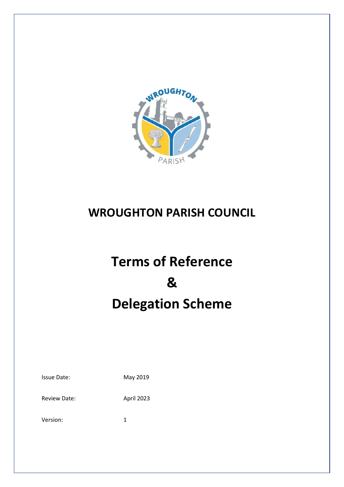

# **WROUGHTON PARISH COUNCIL**

# **Terms of Reference & Delegation Scheme**

| <b>Issue Date:</b> | May 2019 |  |
|--------------------|----------|--|
|                    |          |  |

Review Date: April 2023

Version: 1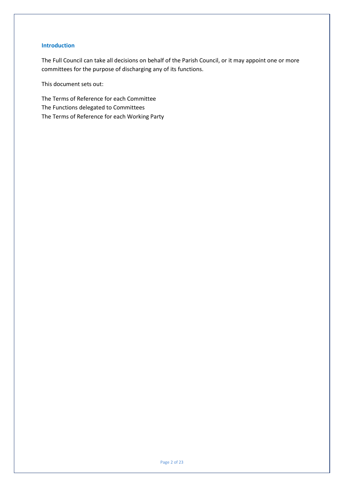# **Introduction**

The Full Council can take all decisions on behalf of the Parish Council, or it may appoint one or more committees for the purpose of discharging any of its functions.

This document sets out:

The Terms of Reference for each Committee The Functions delegated to Committees The Terms of Reference for each Working Party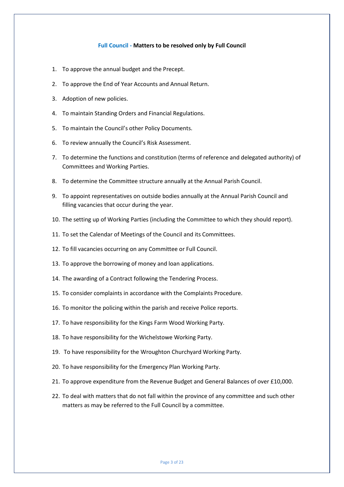#### **Full Council - Matters to be resolved only by Full Council**

- 1. To approve the annual budget and the Precept.
- 2. To approve the End of Year Accounts and Annual Return.
- 3. Adoption of new policies.
- 4. To maintain Standing Orders and Financial Regulations.
- 5. To maintain the Council's other Policy Documents.
- 6. To review annually the Council's Risk Assessment.
- 7. To determine the functions and constitution (terms of reference and delegated authority) of Committees and Working Parties.
- 8. To determine the Committee structure annually at the Annual Parish Council.
- 9. To appoint representatives on outside bodies annually at the Annual Parish Council and filling vacancies that occur during the year.
- 10. The setting up of Working Parties (including the Committee to which they should report).
- 11. To set the Calendar of Meetings of the Council and its Committees.
- 12. To fill vacancies occurring on any Committee or Full Council.
- 13. To approve the borrowing of money and loan applications.
- 14. The awarding of a Contract following the Tendering Process.
- 15. To consider complaints in accordance with the Complaints Procedure.
- 16. To monitor the policing within the parish and receive Police reports.
- 17. To have responsibility for the Kings Farm Wood Working Party.
- 18. To have responsibility for the Wichelstowe Working Party.
- 19. To have responsibility for the Wroughton Churchyard Working Party.
- 20. To have responsibility for the Emergency Plan Working Party.
- 21. To approve expenditure from the Revenue Budget and General Balances of over £10,000.
- 22. To deal with matters that do not fall within the province of any committee and such other matters as may be referred to the Full Council by a committee.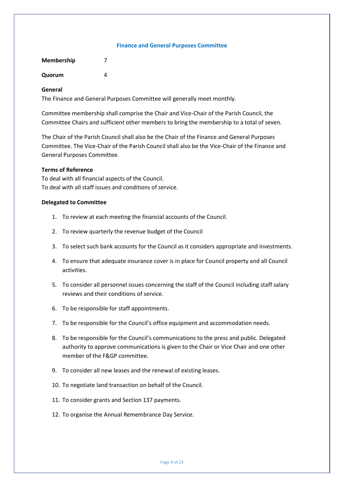#### **Finance and General Purposes Committee**

| <b>Membership</b> |   |
|-------------------|---|
| Quorum            | Δ |

#### **General**

The Finance and General Purposes Committee will generally meet monthly.

Committee membership shall comprise the Chair and Vice-Chair of the Parish Council, the Committee Chairs and sufficient other members to bring the membership to a total of seven.

The Chair of the Parish Council shall also be the Chair of the Finance and General Purposes Committee. The Vice-Chair of the Parish Council shall also be the Vice-Chair of the Finance and General Purposes Committee.

# **Terms of Reference**

To deal with all financial aspects of the Council. To deal with all staff issues and conditions of service.

- 1. To review at each meeting the financial accounts of the Council.
- 2. To review quarterly the revenue budget of the Council
- 3. To select such bank accounts for the Council as it considers appropriate and investments.
- 4. To ensure that adequate insurance cover is in place for Council property and all Council activities.
- 5. To consider all personnel issues concerning the staff of the Council including staff salary reviews and their conditions of service.
- 6. To be responsible for staff appointments.
- 7. To be responsible for the Council's office equipment and accommodation needs.
- 8. To be responsible for the Council's communications to the press and public. Delegated authority to approve communications is given to the Chair or Vice Chair and one other member of the F&GP committee.
- 9. To consider all new leases and the renewal of existing leases.
- 10. To negotiate land transaction on behalf of the Council.
- 11. To consider grants and Section 137 payments.
- 12. To organise the Annual Remembrance Day Service.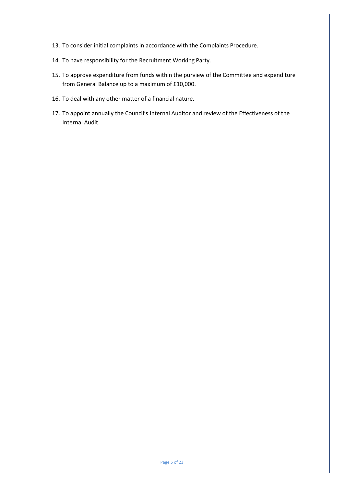- 13. To consider initial complaints in accordance with the Complaints Procedure.
- 14. To have responsibility for the Recruitment Working Party.
- 15. To approve expenditure from funds within the purview of the Committee and expenditure from General Balance up to a maximum of £10,000.
- 16. To deal with any other matter of a financial nature.
- 17. To appoint annually the Council's Internal Auditor and review of the Effectiveness of the Internal Audit.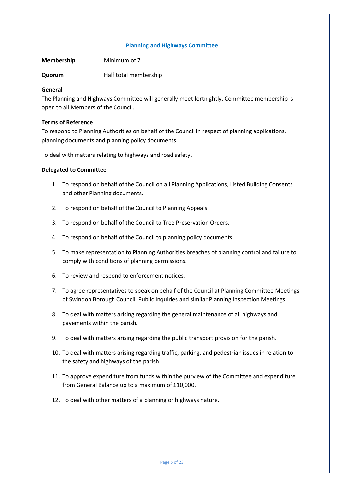#### **Planning and Highways Committee**

**Membership** Minimum of 7

**Quorum** Half total membership

# **General**

The Planning and Highways Committee will generally meet fortnightly. Committee membership is open to all Members of the Council.

# **Terms of Reference**

To respond to Planning Authorities on behalf of the Council in respect of planning applications, planning documents and planning policy documents.

To deal with matters relating to highways and road safety.

- 1. To respond on behalf of the Council on all Planning Applications, Listed Building Consents and other Planning documents.
- 2. To respond on behalf of the Council to Planning Appeals.
- 3. To respond on behalf of the Council to Tree Preservation Orders.
- 4. To respond on behalf of the Council to planning policy documents.
- 5. To make representation to Planning Authorities breaches of planning control and failure to comply with conditions of planning permissions.
- 6. To review and respond to enforcement notices.
- 7. To agree representatives to speak on behalf of the Council at Planning Committee Meetings of Swindon Borough Council, Public Inquiries and similar Planning Inspection Meetings.
- 8. To deal with matters arising regarding the general maintenance of all highways and pavements within the parish.
- 9. To deal with matters arising regarding the public transport provision for the parish.
- 10. To deal with matters arising regarding traffic, parking, and pedestrian issues in relation to the safety and highways of the parish.
- 11. To approve expenditure from funds within the purview of the Committee and expenditure from General Balance up to a maximum of £10,000.
- 12. To deal with other matters of a planning or highways nature.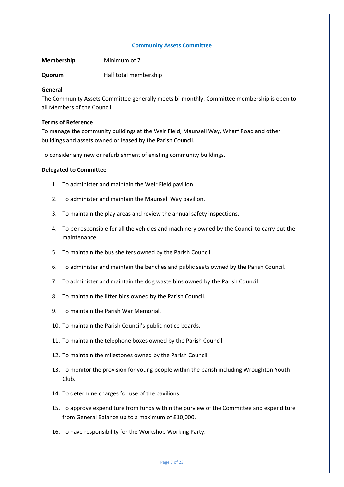#### **Community Assets Committee**

**Membership** Minimum of 7

**Quorum** Half total membership

#### **General**

The Community Assets Committee generally meets bi-monthly. Committee membership is open to all Members of the Council.

#### **Terms of Reference**

To manage the community buildings at the Weir Field, Maunsell Way, Wharf Road and other buildings and assets owned or leased by the Parish Council.

To consider any new or refurbishment of existing community buildings.

- 1. To administer and maintain the Weir Field pavilion.
- 2. To administer and maintain the Maunsell Way pavilion.
- 3. To maintain the play areas and review the annual safety inspections.
- 4. To be responsible for all the vehicles and machinery owned by the Council to carry out the maintenance.
- 5. To maintain the bus shelters owned by the Parish Council.
- 6. To administer and maintain the benches and public seats owned by the Parish Council.
- 7. To administer and maintain the dog waste bins owned by the Parish Council.
- 8. To maintain the litter bins owned by the Parish Council.
- 9. To maintain the Parish War Memorial.
- 10. To maintain the Parish Council's public notice boards.
- 11. To maintain the telephone boxes owned by the Parish Council.
- 12. To maintain the milestones owned by the Parish Council.
- 13. To monitor the provision for young people within the parish including Wroughton Youth Club.
- 14. To determine charges for use of the pavilions.
- 15. To approve expenditure from funds within the purview of the Committee and expenditure from General Balance up to a maximum of £10,000.
- 16. To have responsibility for the Workshop Working Party.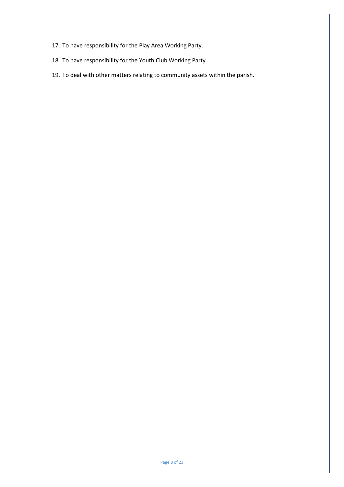- 17. To have responsibility for the Play Area Working Party.
- 18. To have responsibility for the Youth Club Working Party.
- 19. To deal with other matters relating to community assets within the parish.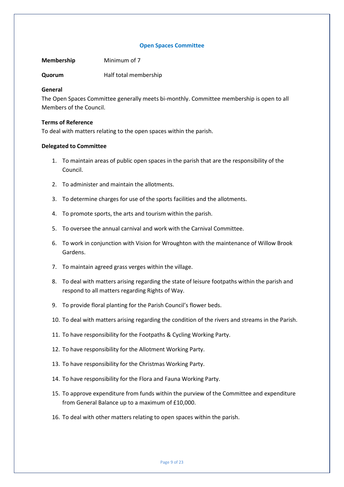#### **Open Spaces Committee**

**Membership** Minimum of 7

**Quorum** Half total membership

#### **General**

The Open Spaces Committee generally meets bi-monthly. Committee membership is open to all Members of the Council.

#### **Terms of Reference**

To deal with matters relating to the open spaces within the parish.

- 1. To maintain areas of public open spaces in the parish that are the responsibility of the Council.
- 2. To administer and maintain the allotments.
- 3. To determine charges for use of the sports facilities and the allotments.
- 4. To promote sports, the arts and tourism within the parish.
- 5. To oversee the annual carnival and work with the Carnival Committee.
- 6. To work in conjunction with Vision for Wroughton with the maintenance of Willow Brook Gardens.
- 7. To maintain agreed grass verges within the village.
- 8. To deal with matters arising regarding the state of leisure footpaths within the parish and respond to all matters regarding Rights of Way.
- 9. To provide floral planting for the Parish Council's flower beds.
- 10. To deal with matters arising regarding the condition of the rivers and streams in the Parish.
- 11. To have responsibility for the Footpaths & Cycling Working Party.
- 12. To have responsibility for the Allotment Working Party.
- 13. To have responsibility for the Christmas Working Party.
- 14. To have responsibility for the Flora and Fauna Working Party.
- 15. To approve expenditure from funds within the purview of the Committee and expenditure from General Balance up to a maximum of £10,000.
- 16. To deal with other matters relating to open spaces within the parish.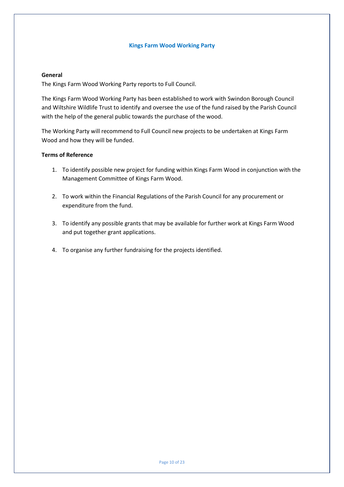#### **Kings Farm Wood Working Party**

#### **General**

The Kings Farm Wood Working Party reports to Full Council.

The Kings Farm Wood Working Party has been established to work with Swindon Borough Council and Wiltshire Wildlife Trust to identify and oversee the use of the fund raised by the Parish Council with the help of the general public towards the purchase of the wood.

The Working Party will recommend to Full Council new projects to be undertaken at Kings Farm Wood and how they will be funded.

- 1. To identify possible new project for funding within Kings Farm Wood in conjunction with the Management Committee of Kings Farm Wood.
- 2. To work within the Financial Regulations of the Parish Council for any procurement or expenditure from the fund.
- 3. To identify any possible grants that may be available for further work at Kings Farm Wood and put together grant applications.
- 4. To organise any further fundraising for the projects identified.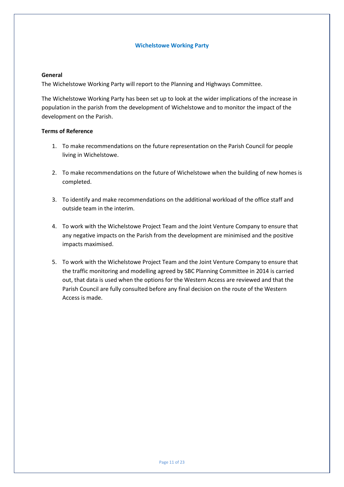#### **Wichelstowe Working Party**

#### **General**

The Wichelstowe Working Party will report to the Planning and Highways Committee.

The Wichelstowe Working Party has been set up to look at the wider implications of the increase in population in the parish from the development of Wichelstowe and to monitor the impact of the development on the Parish.

- 1. To make recommendations on the future representation on the Parish Council for people living in Wichelstowe.
- 2. To make recommendations on the future of Wichelstowe when the building of new homes is completed.
- 3. To identify and make recommendations on the additional workload of the office staff and outside team in the interim.
- 4. To work with the Wichelstowe Project Team and the Joint Venture Company to ensure that any negative impacts on the Parish from the development are minimised and the positive impacts maximised.
- 5. To work with the Wichelstowe Project Team and the Joint Venture Company to ensure that the traffic monitoring and modelling agreed by SBC Planning Committee in 2014 is carried out, that data is used when the options for the Western Access are reviewed and that the Parish Council are fully consulted before any final decision on the route of the Western Access is made.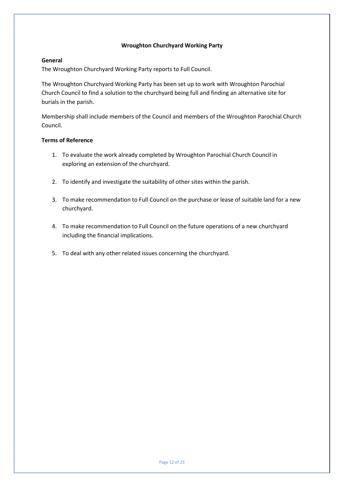# **Wroughton Churchyard Working Party**

# **General**

The Wroughton Churchyard Working Party reports to Full Council.

The Wroughton Churchyard Working Party has been set up to work with Wroughton Parochial Church Council to find a solution to the churchyard being full and finding an alternative site for burials in the parish.

Membership shall include members of the Council and members of the Wroughton Parochial Church Council.

- 1. To evaluate the work already completed by Wroughton Parochial Church Council in exploring an extension of the churchyard.
- 2. To identify and investigate the suitability of other sites within the parish.
- 3. To make recommendation to Full Council on the purchase or lease of suitable land for a new churchyard.
- 4. To make recommendation to Full Council on the future operations of a new churchyard including the financial implications.
- 5. To deal with any other related issues concerning the churchyard.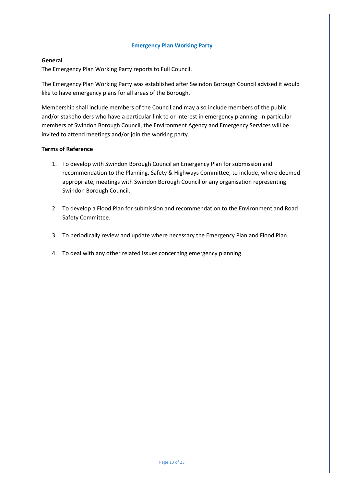# **Emergency Plan Working Party**

# **General**

The Emergency Plan Working Party reports to Full Council.

The Emergency Plan Working Party was established after Swindon Borough Council advised it would like to have emergency plans for all areas of the Borough.

Membership shall include members of the Council and may also include members of the public and/or stakeholders who have a particular link to or interest in emergency planning. In particular members of Swindon Borough Council, the Environment Agency and Emergency Services will be invited to attend meetings and/or join the working party.

- 1. To develop with Swindon Borough Council an Emergency Plan for submission and recommendation to the Planning, Safety & Highways Committee, to include, where deemed appropriate, meetings with Swindon Borough Council or any organisation representing Swindon Borough Council.
- 2. To develop a Flood Plan for submission and recommendation to the Environment and Road Safety Committee.
- 3. To periodically review and update where necessary the Emergency Plan and Flood Plan.
- 4. To deal with any other related issues concerning emergency planning.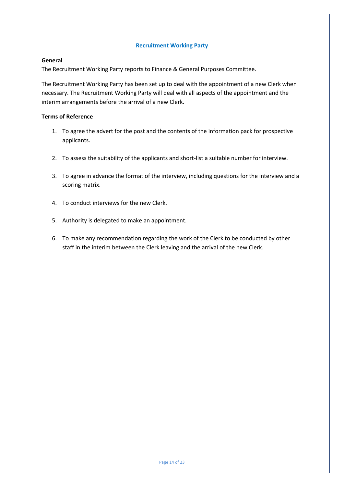# **Recruitment Working Party**

#### **General**

The Recruitment Working Party reports to Finance & General Purposes Committee.

The Recruitment Working Party has been set up to deal with the appointment of a new Clerk when necessary. The Recruitment Working Party will deal with all aspects of the appointment and the interim arrangements before the arrival of a new Clerk.

- 1. To agree the advert for the post and the contents of the information pack for prospective applicants.
- 2. To assess the suitability of the applicants and short-list a suitable number for interview.
- 3. To agree in advance the format of the interview, including questions for the interview and a scoring matrix.
- 4. To conduct interviews for the new Clerk.
- 5. Authority is delegated to make an appointment.
- 6. To make any recommendation regarding the work of the Clerk to be conducted by other staff in the interim between the Clerk leaving and the arrival of the new Clerk.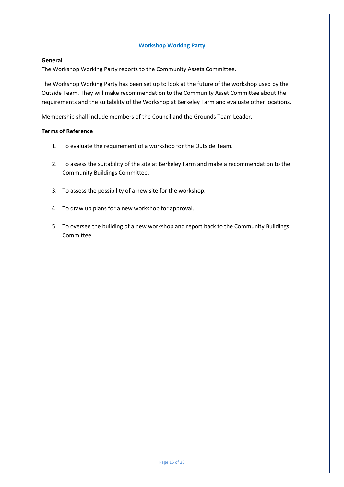#### **Workshop Working Party**

#### **General**

The Workshop Working Party reports to the Community Assets Committee.

The Workshop Working Party has been set up to look at the future of the workshop used by the Outside Team. They will make recommendation to the Community Asset Committee about the requirements and the suitability of the Workshop at Berkeley Farm and evaluate other locations.

Membership shall include members of the Council and the Grounds Team Leader.

- 1. To evaluate the requirement of a workshop for the Outside Team.
- 2. To assess the suitability of the site at Berkeley Farm and make a recommendation to the Community Buildings Committee.
- 3. To assess the possibility of a new site for the workshop.
- 4. To draw up plans for a new workshop for approval.
- 5. To oversee the building of a new workshop and report back to the Community Buildings Committee.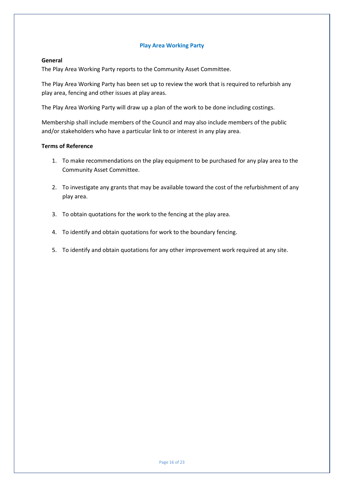# **Play Area Working Party**

#### **General**

The Play Area Working Party reports to the Community Asset Committee.

The Play Area Working Party has been set up to review the work that is required to refurbish any play area, fencing and other issues at play areas.

The Play Area Working Party will draw up a plan of the work to be done including costings.

Membership shall include members of the Council and may also include members of the public and/or stakeholders who have a particular link to or interest in any play area.

- 1. To make recommendations on the play equipment to be purchased for any play area to the Community Asset Committee.
- 2. To investigate any grants that may be available toward the cost of the refurbishment of any play area.
- 3. To obtain quotations for the work to the fencing at the play area.
- 4. To identify and obtain quotations for work to the boundary fencing.
- 5. To identify and obtain quotations for any other improvement work required at any site.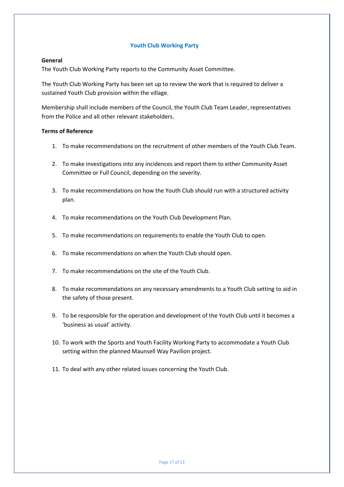# **Youth Club Working Party**

# **General**

The Youth Club Working Party reports to the Community Asset Committee.

The Youth Club Working Party has been set up to review the work that is required to deliver a sustained Youth Club provision within the village.

Membership shall include members of the Council, the Youth Club Team Leader, representatives from the Police and all other relevant stakeholders.

- 1. To make recommendations on the recruitment of other members of the Youth Club Team.
- 2. To make investigations into any incidences and report them to either Community Asset Committee or Full Council, depending on the severity.
- 3. To make recommendations on how the Youth Club should run with a structured activity plan.
- 4. To make recommendations on the Youth Club Development Plan.
- 5. To make recommendations on requirements to enable the Youth Club to open.
- 6. To make recommendations on when the Youth Club should open.
- 7. To make recommendations on the site of the Youth Club.
- 8. To make recommendations on any necessary amendments to a Youth Club setting to aid in the safety of those present.
- 9. To be responsible for the operation and development of the Youth Club until it becomes a 'business as usual' activity.
- 10. To work with the Sports and Youth Facility Working Party to accommodate a Youth Club setting within the planned Maunsell Way Pavilion project.
- 11. To deal with any other related issues concerning the Youth Club.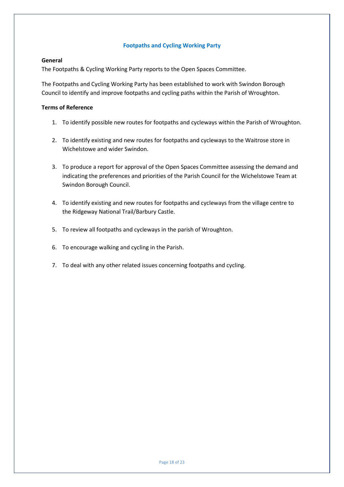# **Footpaths and Cycling Working Party**

# **General**

The Footpaths & Cycling Working Party reports to the Open Spaces Committee.

The Footpaths and Cycling Working Party has been established to work with Swindon Borough Council to identify and improve footpaths and cycling paths within the Parish of Wroughton.

- 1. To identify possible new routes for footpaths and cycleways within the Parish of Wroughton.
- 2. To identify existing and new routes for footpaths and cycleways to the Waitrose store in Wichelstowe and wider Swindon.
- 3. To produce a report for approval of the Open Spaces Committee assessing the demand and indicating the preferences and priorities of the Parish Council for the Wichelstowe Team at Swindon Borough Council.
- 4. To identify existing and new routes for footpaths and cycleways from the village centre to the Ridgeway National Trail/Barbury Castle.
- 5. To review all footpaths and cycleways in the parish of Wroughton.
- 6. To encourage walking and cycling in the Parish.
- 7. To deal with any other related issues concerning footpaths and cycling.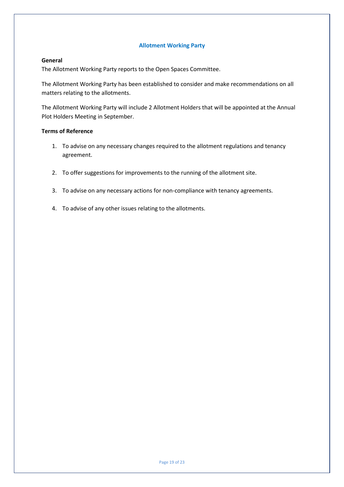# **Allotment Working Party**

#### **General**

The Allotment Working Party reports to the Open Spaces Committee.

The Allotment Working Party has been established to consider and make recommendations on all matters relating to the allotments.

The Allotment Working Party will include 2 Allotment Holders that will be appointed at the Annual Plot Holders Meeting in September.

- 1. To advise on any necessary changes required to the allotment regulations and tenancy agreement.
- 2. To offer suggestions for improvements to the running of the allotment site.
- 3. To advise on any necessary actions for non-compliance with tenancy agreements.
- 4. To advise of any other issues relating to the allotments.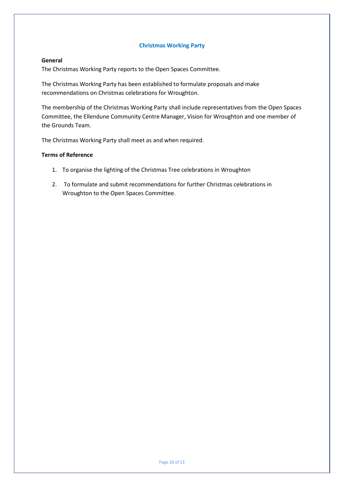#### **Christmas Working Party**

#### **General**

The Christmas Working Party reports to the Open Spaces Committee.

The Christmas Working Party has been established to formulate proposals and make recommendations on Christmas celebrations for Wroughton.

The membership of the Christmas Working Party shall include representatives from the Open Spaces Committee, the Ellendune Community Centre Manager, Vision for Wroughton and one member of the Grounds Team.

The Christmas Working Party shall meet as and when required.

- 1. To organise the lighting of the Christmas Tree celebrations in Wroughton
- 2. To formulate and submit recommendations for further Christmas celebrations in Wroughton to the Open Spaces Committee.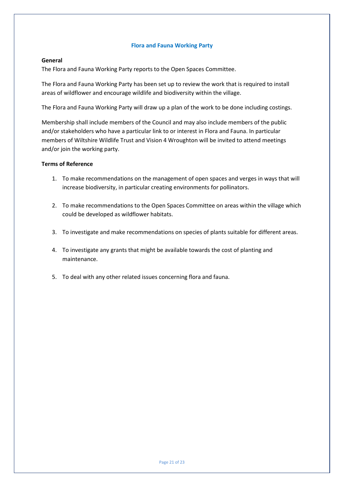#### **Flora and Fauna Working Party**

#### **General**

The Flora and Fauna Working Party reports to the Open Spaces Committee.

The Flora and Fauna Working Party has been set up to review the work that is required to install areas of wildflower and encourage wildlife and biodiversity within the village.

The Flora and Fauna Working Party will draw up a plan of the work to be done including costings.

Membership shall include members of the Council and may also include members of the public and/or stakeholders who have a particular link to or interest in Flora and Fauna. In particular members of Wiltshire Wildlife Trust and Vision 4 Wroughton will be invited to attend meetings and/or join the working party.

- 1. To make recommendations on the management of open spaces and verges in ways that will increase biodiversity, in particular creating environments for pollinators.
- 2. To make recommendations to the Open Spaces Committee on areas within the village which could be developed as wildflower habitats.
- 3. To investigate and make recommendations on species of plants suitable for different areas.
- 4. To investigate any grants that might be available towards the cost of planting and maintenance.
- 5. To deal with any other related issues concerning flora and fauna.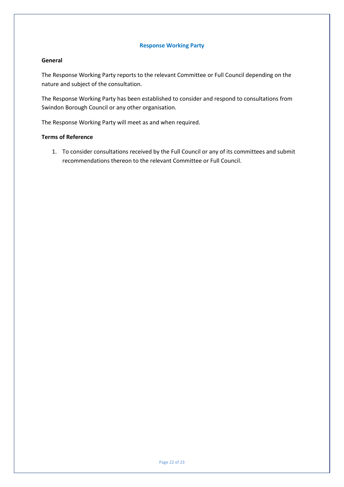#### **Response Working Party**

# **General**

The Response Working Party reports to the relevant Committee or Full Council depending on the nature and subject of the consultation.

The Response Working Party has been established to consider and respond to consultations from Swindon Borough Council or any other organisation.

The Response Working Party will meet as and when required.

# **Terms of Reference**

1. To consider consultations received by the Full Council or any of its committees and submit recommendations thereon to the relevant Committee or Full Council.